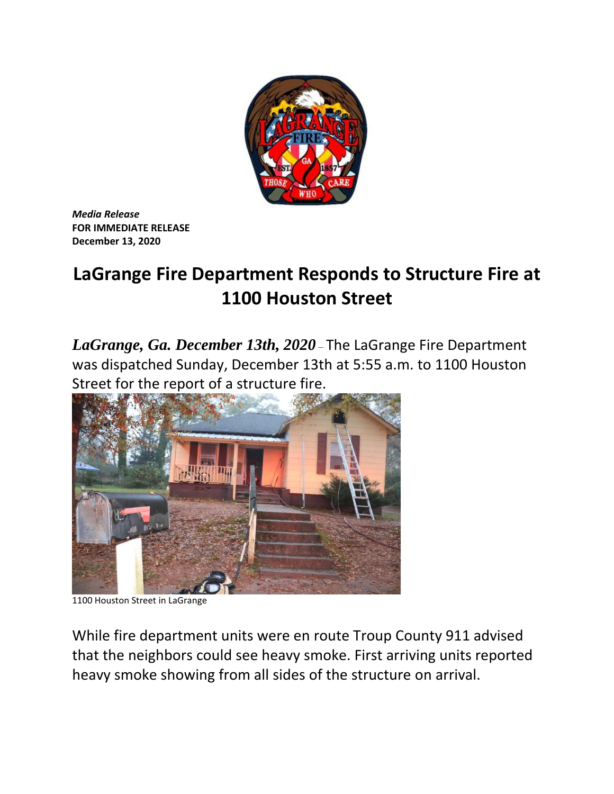

*Media Release* **FOR IMMEDIATE RELEASE December 13, 2020**

## **LaGrange Fire Department Responds to Structure Fire at 1100 Houston Street**

*LaGrange, Ga. December 13th, 2020* – The LaGrange Fire Department was dispatched Sunday, December 13th at 5:55 a.m. to 1100 Houston Street for the report of a structure fire.



1100 Houston Street in LaGrange

While fire department units were en route Troup County 911 advised that the neighbors could see heavy smoke. First arriving units reported heavy smoke showing from all sides of the structure on arrival.